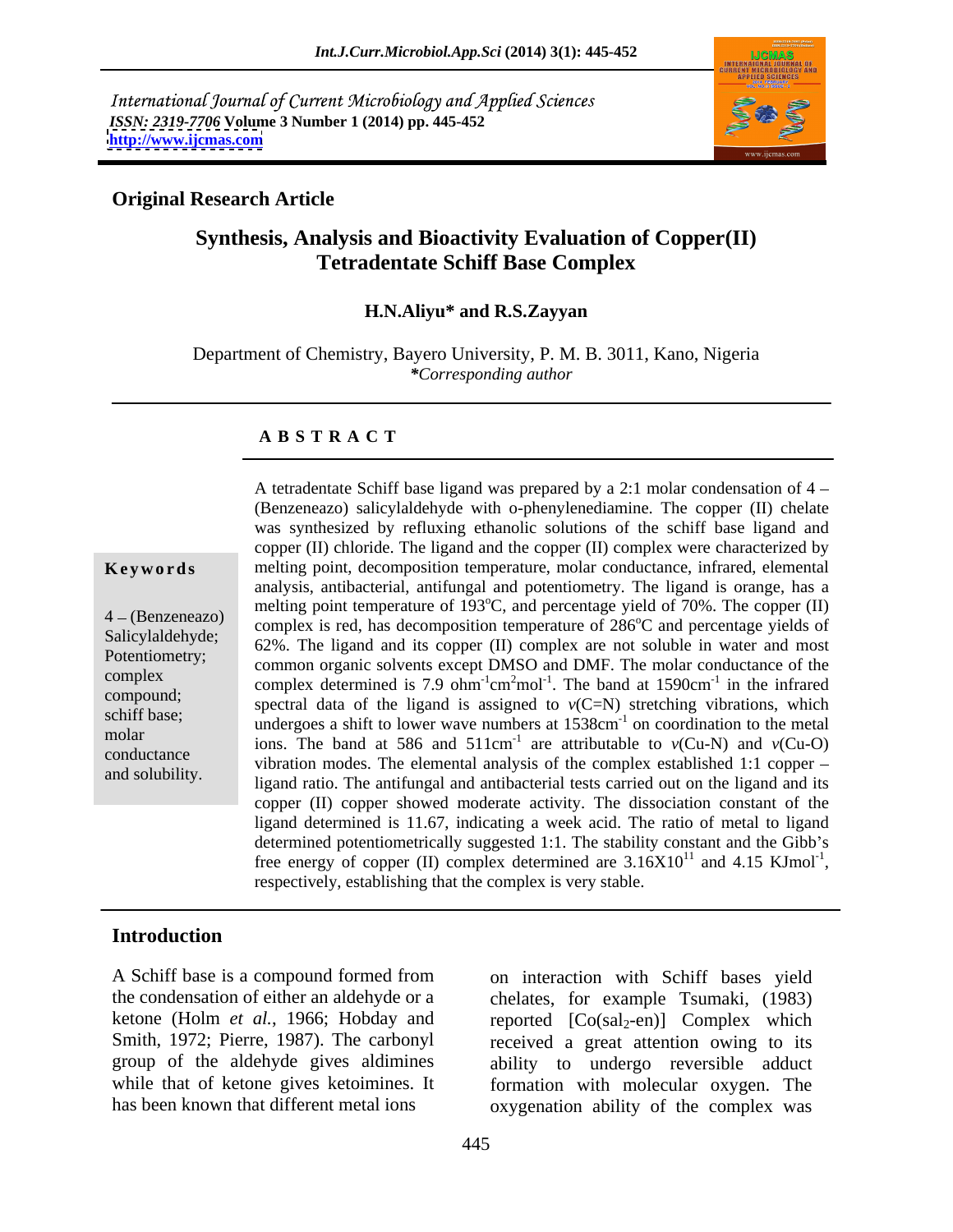International Journal of Current Microbiology and Applied Sciences *ISSN: 2319-7706* **Volume 3 Number 1 (2014) pp. 445-452 <http://www.ijcmas.com>**



### **Original Research Article**

## **Synthesis, Analysis and Bioactivity Evaluation of Copper(II) Tetradentate Schiff Base Complex**

### **H.N.Aliyu\* and R.S.Zayyan**

Department of Chemistry, Bayero University, P. M. B. 3011, Kano, Nigeria *\*Corresponding author* 

### **A B S T R A C T**

**Keywords** melting point, decomposition temperature, molar conductance, infrared, elemental  $\frac{4 - (Benzene a zo)}{26 \text{th}^2}$  complex is red, has decomposition temperature of  $286^{\circ}$ C and percentage yields of Salicylaldehyde;<br>
62%. The ligand and its copper (II) complex are not soluble in water and most Potentiometry;<br>
common organic solvents except DMSO and DMF. The molar conductance of the complex common organic solvents except  $\Sigma$  cm<sup>-1</sup> cm<sup>2</sup>mol<sup>-1</sup>. The band at 1590cm<sup>-1</sup> in the infrared compound;<br>spectral data of the ligand is assigned to  $v(C=N)$  stretching vibrations, which schiff base;<br>undergoes a shift to lower wave numbers at  $1538 \text{cm}^{-1}$  on coordination to the metal molar  $\frac{\text{under}}{\text{cos}}$  and  $\frac{\text{cos}}{\text{cos}}$  and  $\frac{\text{cos}}{\text{cos}}$  and  $\frac{\text{cos}}{\text{cos}}$  and  $\frac{\text{cos}}{\text{cos}}$  and  $\frac{\text{cos}}{\text{cos}}$  and  $\frac{\text{cos}}{\text{cos}}$  and  $\frac{\text{cos}}{\text{cos}}$  and  $\frac{\text{cos}}{\text{cos}}$  and  $\frac{\text{cos}}{\text{cos}}$  and  $\frac{\text{cos}}{\text{cos}}$  and  $\frac{\text{$ conductance vibration modes. The elemental analysis of the complex established 1:1 copper – and solubility.<br>ligand ratio. The antifungal and antibacterial tests carried out on the ligand and its A tetradentate Schiff base ligand was prepared by a 2:1 molar condensation of  $4 -$ (Benzeneazo) salicylaldehyde with o-phenylenediamine. The copper (II) chelate was synthesized by refluxing ethanolic solutions of the schiff base ligand and copper (II) chloride. The ligand and the copper (II) complex were characterized by analysis, antibacterial, antifungal and potentiometry. The ligand is orange, has a melting point temperature of 193°C, and percentage yield of 70%. The copper (II) <sup>o</sup>C and percentage yields of . The band at  $1590 \text{cm}^{-1}$  in the infrared  $^{-1}$  in the infrared in the infrared copper (II) copper showed moderate activity. The dissociation constant of the ligand determined is 11.67, indicating a week acid. The ratio of metal to ligand determined potentiometrically suggested 1:1. The stability constant and the Gibb's free energy of copper (II) complex determined are  $3.16X10^{11}$  and  $4.15$  KJmol<sup>-1</sup>, respectively, establishing that the complex is very stable.  $11$  and 4.15 KJmol<sup>-1</sup>,

### **Introduction**

A Schiff base is a compound formed from on interaction with Schiff bases yield

the condensation of either an aldehyde or a chelates, for example Tsumaki, (1983) ketone (Holm *et al.*, 1966; Hobday and reported [Co(sal<sub>2</sub>-en)] Complex which Smith, 1972; Pierre, 1987). The carbonyl received a great attention owing to its group of the aldehyde gives aldimines ability to undergo reversible adduct while that of ketone gives ketoimines. It formation with molecular oxygen. The has been known that different metal ions oxygenation ability of the complex was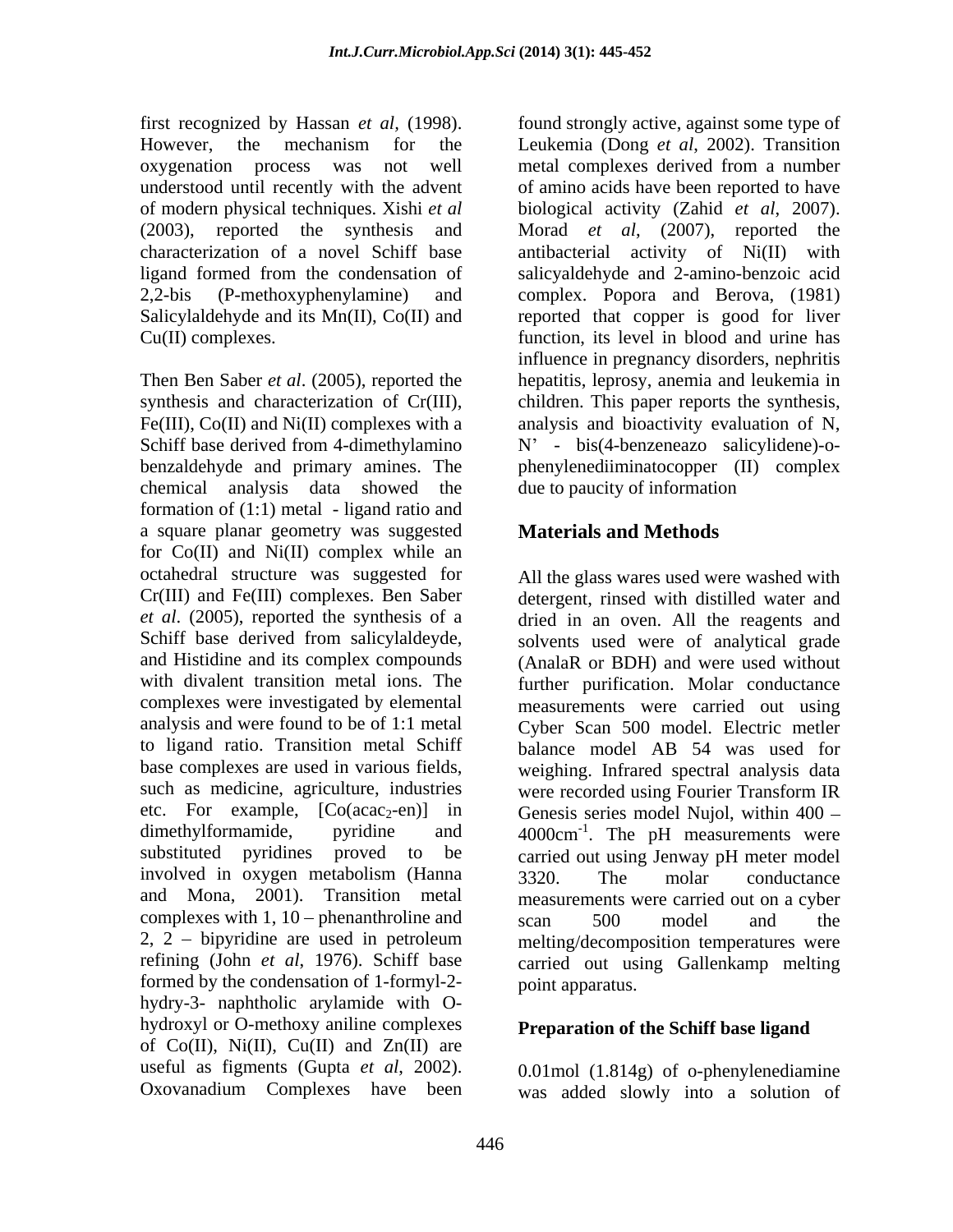oxygenation process was not well

Fe(III), Co(II) and Ni(II) complexes with a chemical analysis data showed the formation of (1:1) metal - ligand ratio and a square planar geometry was suggested for  $Co(II)$  and  $Ni(II)$  complex while an *et al*. (2005), reported the synthesis of a analysis and were found to be of 1:1 metal such as medicine, agriculture, industries were recorded using Fourier Transform IR complexes with 1, 10 – phenanthroline and  $scan$  500 model and the 2, 2 bipyridine are used in petroleum formed by the condensation of 1-formyl-2 hydry-3- naphtholic arylamide with O hydroxyl or O-methoxy aniline complexes of  $Co(II)$ ,  $Ni(II)$ ,  $Cu(II)$  and  $Zn(II)$  are

first recognized by Hassan *et al,* (1998). found strongly active, against some type of However, the mechanism for the Leukemia (Dong *et al*, 2002). Transition understood until recently with the advent of amino acids have been reported to have of modern physical techniques. Xishi *et al* biological activity (Zahid *et al*, 2007). (2003), reported the synthesis and Morad *et al*, (2007), reported the characterization of a novel Schiff base antibacterial activity of Ni(II) with ligand formed from the condensation of salicyaldehyde and 2-amino-benzoic acid 2,2-bis (P-methoxyphenylamine) and complex. Popora and Berova, (1981) Salicylaldehyde and its Mn(II), Co(II) and reported that copper is good for liver Cu(II) complexes. function, its level in blood and urine has Then Ben Saber *et al*. (2005), reported the hepatitis, leprosy, anemia and leukemia in synthesis and characterization of Cr(III), children. This paper reports the synthesis, Schiff base derived from 4-dimethylamino  $N' - bis(4-benzeneazo - salicylidene) - o$ benzaldehyde and primary amines. The phenylenediiminatocopper (II) complex metal complexes derived from a number influence in pregnancy disorders, nephritis analysis and bioactivity evaluation of N, due to paucity of information

# **Materials and Methods**

octahedral structure was suggested for All the glass wares used were washed with Cr(III) and Fe(III) complexes. Ben Saber detergent, rinsed with distilled water and Schiff base derived from salicylaldeyde, solvents used were of analytical grade and Histidine and its complex compounds (AnalaR or BDH) and were used without with divalent transition metal ions. The further purification. Molar conductance complexes were investigated by elemental measurements were carried out using to ligand ratio. Transition metal Schiff balance model AB 54 was used for base complexes are used in various fields, weighing. Infrared spectral analysis data etc. For example,  $[Co(acac<sub>2</sub>-en)]$  in Genesis series model Nujol, within 400 – dimethylformamide, pyridine and  $4000 \text{cm}^{-1}$ . The pH measurements were substituted pyridines proved to be carried out using Jenway pH meter model involved in oxygen metabolism (Hanna and Mona, 2001). Transition metal measurements were carried out on a cyber refining (John *et al*, 1976). Schiff base carried out using Gallenkamp melting dried in an oven. All the reagents and Cyber Scan 500 model. Electric metler were recorded using Fourier Transform IR . The pH measurements were 3320. The molar conductance scan 500 model and the melting/decomposition temperatures were point apparatus.

## **Preparation of the Schiff base ligand**

useful as figments (Gupta *et al*, 2002). <br>Oxovanadium Complexes have been was added slowly into a solution of 0.01mol (1.814g) of o-phenylenediamine was added slowly into a solution of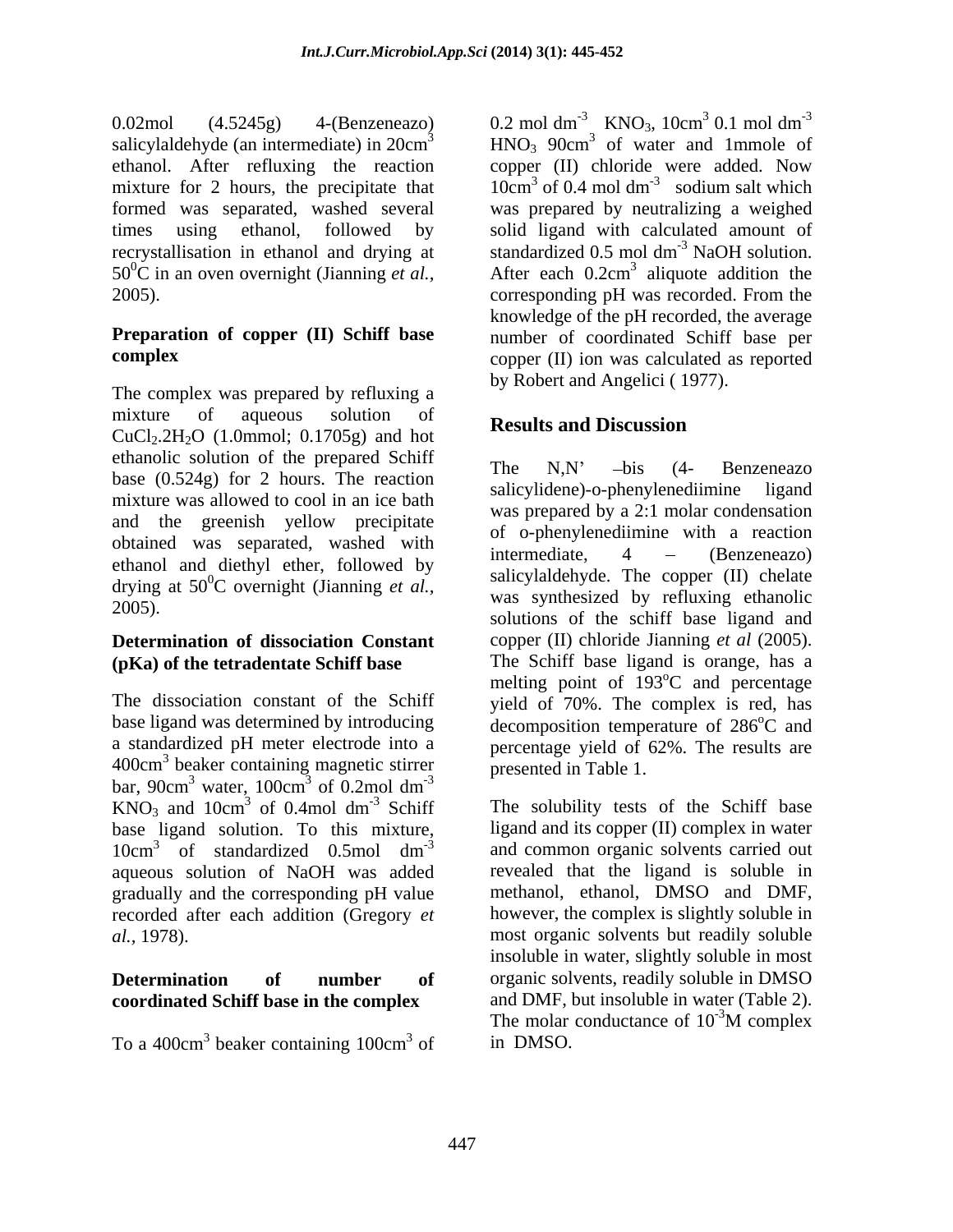salicylaldehyde (an intermediate) in 20cm<sup>3</sup>

The complex was prepared by refluxing a mixture of aqueous solution of **D**essure and Discussion Example  $\alpha$  aqueous solution of **Results and Discussion**<br>CuCl<sub>2</sub>.2H<sub>2</sub>O (1.0mmol; 0.1705g) and hot ethanolic solution of the prepared Schiff<br>
The  $N.N'$  -bis (4- Benzeneazo base (0.524g) for 2 hours. The reaction mixture was allowed to cool in an ice bath and the greenish yellow precipitate obtained was separated, washed with  $\frac{01}{0}$  o-phenylemeuminine with a reaction ethanol and diethyl ether, followed by drying at  $50^{\circ}$ C overnight (Jianning *et al.*,

# **(pKa) of the tetradentate Schiff base**

bar,  $90 \text{cm}^3$  water,  $100 \text{cm}^3$  of  $0.2 \text{mol dm}^3$ water,  $100 \text{cm}^3$  of 0.2mol dm<sup>-3</sup>  $3 \text{ of } 0.2 \text{ mol cm}^{-3}$ of  $0.2$ mol dm<sup>-3</sup>  $KNO_3$  and  $10cm^3$  of 0.4mol dm<sup>-3</sup> Schiff base ligand solution. To this mixture, aqueous solution of NaOH was added recorded after each addition (Gregory *et* 

# **coordinated Schiff base in the complex**

To a 400 $cm<sup>3</sup>$  beaker containing 100 $cm<sup>3</sup>$  of in DMSO.

0.02mol (4.5245g) 4-(Benzeneazo) 0.2 mol dm<sup>-3</sup> KNO<sub>3</sub>, 10cm<sup>3</sup> 0.1 mol dm<sup>-3</sup>  $3$  HNO<sub>3</sub> 90cm<sup>3</sup> of water and 1mmole of ethanol. After refluxing the reaction copper (II) chloride were added. Now mixture for 2 hours, the precipitate that  $10 \text{cm}^3$  of 0.4 mol dm<sup>-3</sup> sodium salt which formed was separated, washed several was prepared by neutralizing a weighed times using ethanol, followed by solid ligand with calculated amount of recrystallisation in ethanol and drying at standardized 0.5 mol dm<sup>-3</sup> NaOH solution.  $50^{\circ}$ C in an oven overnight (Jianning *et al.*, After each 0.2cm<sup>3</sup> aliquote addition the 2005). corresponding pH was recorded. From the **Preparation of copper (II) Schiff base** number of coordinated Schiff base per **complex**  copper (II) ion was calculated as reported  $^{3}$  KNO<sub>3</sub>, 10cm<sup>3</sup> 0.1 mol dm<sup>-3</sup>  $3.01 \text{ mol dm}^3$  $0.1$  mol dm<sup>-3</sup> -3 0.2 mol dm<sup>-3</sup> KNO<sub>3</sub>, 10cm<sup>3</sup> 0.1 mol dm<sup>-3</sup><br>HNO<sub>3</sub> 90cm<sup>3</sup> of water and 1mmole of sodium salt which  $^{-3}$  NaOH solution. aliquote addition the knowledge of the pH recorded, the average by Robert and Angelici ( 1977).

# **Results and Discussion**

<sup>0</sup>C overnight (Jianning *et al.*, sancylalaenyae. The copper (II) cherale 2005). solutions of the schiff base ligand and **Determination of dissociation Constant** copper (II) chloride Jianning *et al* (2005). The dissociation constant of the Schiff yield of 70%. The complex is red, has base ligand was determined by introducing decomposition temperature of 286<sup>°</sup>C and a standardized pH meter electrode into a percentage yield of 62%. The results are 400cm<sup>3</sup> beaker containing magnetic stirrer presented in Table 1. -3 Presence in the case of the case of the case of the case of the case of the case of the case of the case of the case of the case of the case of the case of the case of the case of the case of the case of the case of the The  $N, N'$   $-bis$  (4- Benzeneazo salicylidene)-o-phenylenediimine ligand was prepared by a 2:1 molar condensation of o-phenylenediimine with a reaction intermediate, 4 (Benzeneazo) salicylaldehyde. The copper (II) chelate was synthesized by refluxing ethanolic The Schiff base ligand is orange, has a melting point of 193<sup>°</sup>C and percentage <sup>o</sup>C and percentage <sup>o</sup>C and presented in Table 1.

 $3$  of 0.4mol dm<sup>-3</sup> Schiff The solubility tests of the Schiff base of 0.4mol dm<sup>-3</sup> Schiff The solubility tests of the Schiff base  $10 \text{cm}^3$  of standardized 0.5 mol dm<sup>-3</sup> and common organic solvents carried out of standardized 0.5mol dm<sup>-3</sup> and common organic solvents carried out gradually and the corresponding pH value methanol, ethanol, DMSO and DMF, *al.,* 1978). most organic solvents but readily soluble **Determination of number of** organic solvents, readily soluble in DMSO beaker containing 100cm<sup>3</sup> of in DMSO.  $3 \text{ of }$  in DMSO of in DMSO. ligand and its copper (II) complex in water revealed that the ligand is soluble in however, the complex is slightly soluble in insoluble in water, slightly soluble in most and DMF, but insoluble in water (Table 2). The molar conductance of  $10^{-3}$ M complex in DMSO.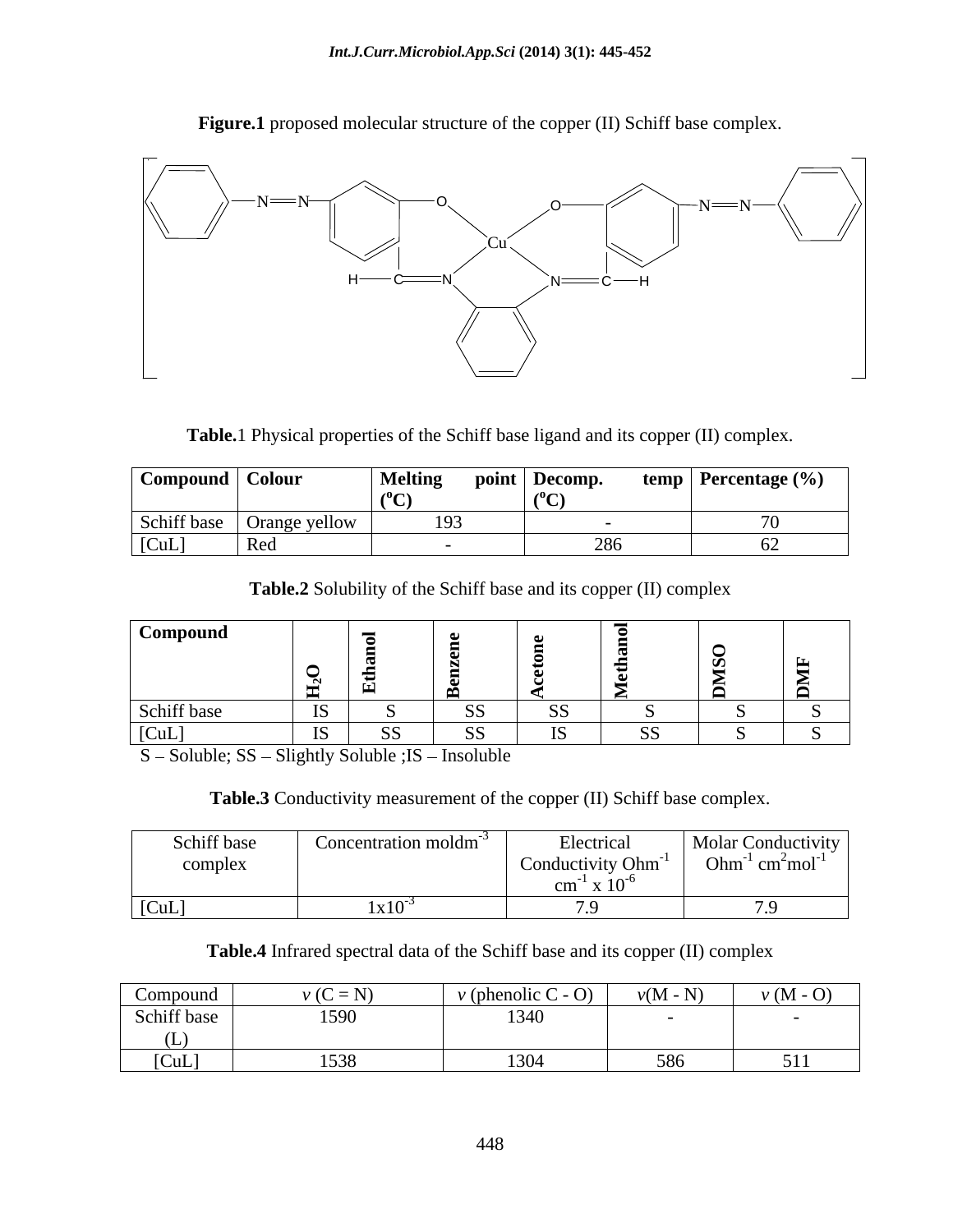

**Figure.1** proposed molecular structure of the copper (II) Schiff base complex.

**Table.**1 Physical properties of the Schiff base ligand and its copper (II) complex.

| Compound   Colour |                             | Melting | point   Decomp. | temp   Percentage $(\% )$ |
|-------------------|-----------------------------|---------|-----------------|---------------------------|
|                   |                             |         |                 |                           |
|                   | Schiff base   Orange yellow | 193     |                 |                           |
| [CuL]             | ww                          |         |                 |                           |

**Table.2** Solubility of the Schiff base and its copper (II) complex

| Compound                          |    |                                          |                 |                        | - -            |     |          |
|-----------------------------------|----|------------------------------------------|-----------------|------------------------|----------------|-----|----------|
|                                   |    |                                          |                 |                        |                |     | <u>_</u> |
|                                   |    | $\mathsf{F}$<br>$\overline{\phantom{0}}$ | ▭               |                        |                | ▁▅▁ | __       |
| Schiff base                       | IS |                                          | $\Omega$<br>-99 | $\sim$ $\sim$          |                |     |          |
| [CuL]<br>$\overline{\phantom{a}}$ | IS | ັບມ                                      | SS              | T <sup>o</sup><br>- 12 | $\alpha$<br>ນມ |     |          |

S - Soluble; SS - Slightly Soluble ; IS - Insoluble

**Table.3** Conductivity measurement of the copper (II) Schiff base complex.

| Schiff base                 | aration moldm <sup>-</sup> | Electrica.                             | $\blacksquare$ Molar Conductivity                   |
|-----------------------------|----------------------------|----------------------------------------|-----------------------------------------------------|
| ومامسمون<br>$\sim$ UIIIPIUA |                            | Conductivity $Ohm^{-1}$                | Ohm <sup>-1</sup> cm <sup>2</sup> mol <sup>-1</sup> |
|                             |                            | $\sim$<br>$\mathsf{CIII}$ $\Lambda$ 10 |                                                     |
| $\vert$ [CuL]               | $1x10^{-3}$                |                                        |                                                     |

**Table.4** Infrared spectral data of the Schiff base and its copper (II) complex

| Compound    | $v(C=N)$ | $\bigcap$<br>$\vee$ (phenolic C $\vee$<br>$-1$ | $v(M - N)$<br>$\mathbf{N}$ | $\nu$ (M - O) |
|-------------|----------|------------------------------------------------|----------------------------|---------------|
| Schiff base | 1590     | 1340                                           |                            |               |
| \ LJ J      |          |                                                |                            |               |
| [CuL]       | 1538     | 1304                                           | 586                        | 511           |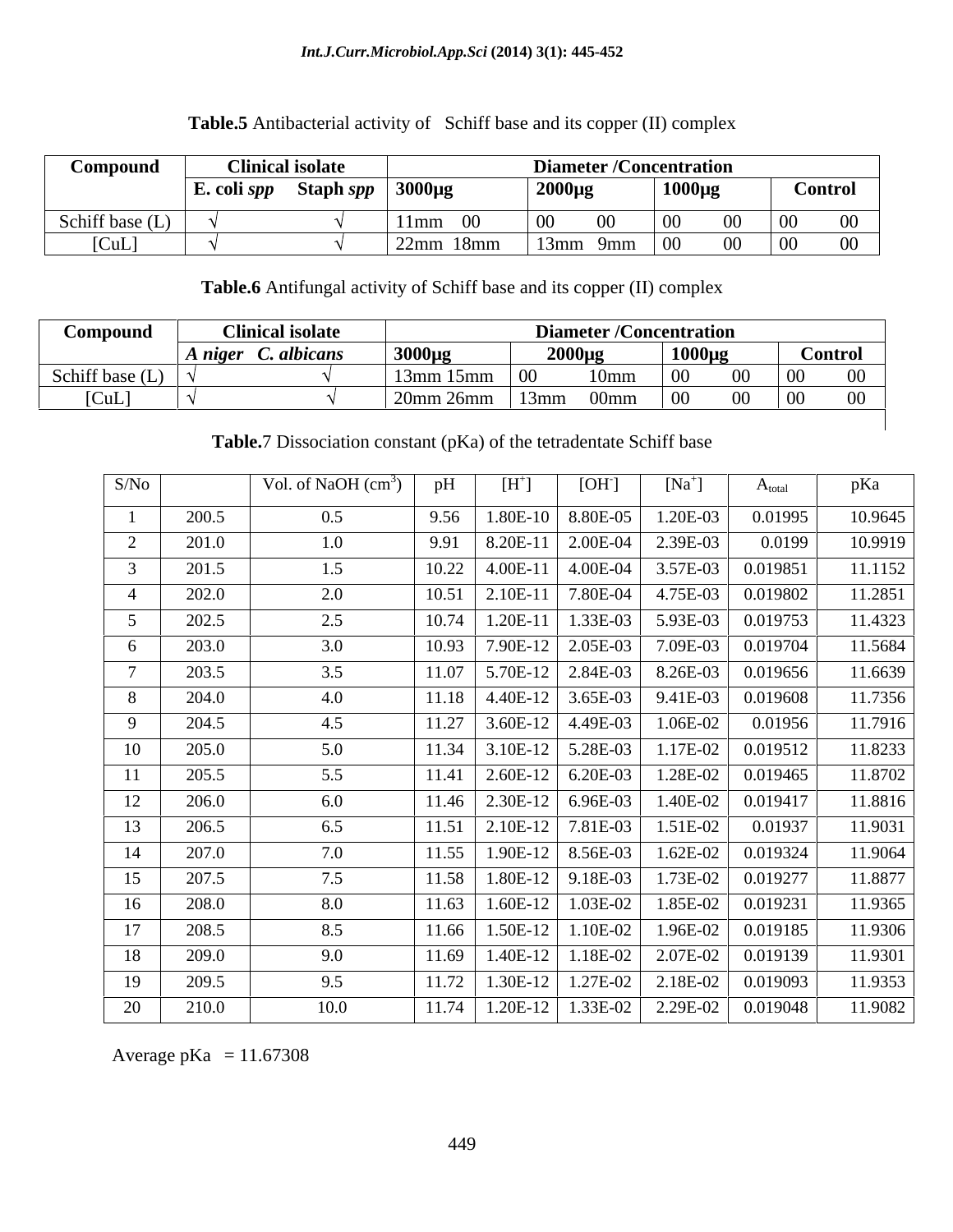### *Int.J.Curr.Microbiol.App.Sci* **(2014) 3(1): 445-452**

# **Compound Clinical isolate Diameter /Concentration E. coli** *spp* **Staph** *spp* **3000µg 2000µg 1000µg Control**  Schiff base (L)  $\vert \sqrt{11} \vert 11$ mm 00  $\vert 00$  00  $\vert 00$  00  $\vert 00$  00  $\vert 0$

 $[CuL]$   $\sqrt{}$   $\sqrt{}$   $\sqrt{22mm}$  18mm  $\sqrt{}$  13mm 9mm  $\sqrt{00}$  00  $\sqrt{00}$  00 00

## **Table.5** Antibacterial activity of Schiff base and its copper (II) complex

**Table.6** Antifungal activity of Schiff base and its copper (II) complex

| Compound                              | <b>Clinical isolate</b>                            |           | <b>Diameter /Concentration</b>   |                  |                                  |
|---------------------------------------|----------------------------------------------------|-----------|----------------------------------|------------------|----------------------------------|
|                                       | $\boldsymbol{A}$ niger $\boldsymbol{C}$ . albicans | $3000\mu$ | $2000\mu g$                      | $1000\mu$        | <b>Control</b>                   |
| Schiff base (L) $\vert \cdot \rangle$ |                                                    | 13mm 15mm | 10mm                             | $\Omega$         | 00 00<br>$00\,$                  |
| [CuL]                                 |                                                    |           | $120$ mm $26$ mm $13$ mm $00$ mm | $\vert 00 \vert$ | $00 \quad 00$<br>00 <sub>1</sub> |
|                                       |                                                    |           |                                  |                  |                                  |

**Table.**7 Dissociation constant (pKa) of the tetradentate Schiff base

| S/No |       | Vol. of NaOH $(cm3)$ |       | $[H^+]$                       | [OH]                | $[Na^+]$   | $A_{total}$       | pKa     |
|------|-------|----------------------|-------|-------------------------------|---------------------|------------|-------------------|---------|
|      | 200.5 | 0.5                  | 9.56  | $1.80E-10$                    | 8.80E-05            | 1.20E-03   | 0.01995           | 10.9645 |
|      | 201.0 | 1.0                  | 9.91  | 8.20E-11                      | 2.00E-04            | 2.39E-03   | 0.0199            | 10.9919 |
|      | 201.5 | 1.5                  | 10.22 | 4.00E-11                      | 4.00E-04            | 3.57E-03   | 0.019851          | 11.1152 |
| 4    | 202.0 | 2.0                  | 10.51 | 2.10E-11                      | 7.80E-04            | 4.75E-03   | 0.019802          | 11.2851 |
|      | 202.5 | 2.5                  | 10.74 | 1.20E-11                      | 1.33E-03            | 5.93E-03   | 0.019753          | 11.4323 |
|      | 203.0 | 3.0                  |       | 10.93   7.90E-12   2.05E-03   |                     | 7.09E-03   | 0.019704          | 11.5684 |
|      | 203.5 | 3.5                  | 11.07 |                               | $5.70E-12$ 2.84E-03 | 8.26E-03   | 0.019656          | 11.6639 |
| 8    | 204.0 | 4.0                  | 11.18 | $4.40E-12$                    | 3.65E-03            | 9.41E-03   | 0.019608          | 11.7356 |
| 9    | 204.5 | 4.5                  | 11.27 | $3.60E-12$ 4.49E-03           |                     | 1.06E-02   | 0.01956           | 11.7916 |
| 10   | 205.0 | 5.0                  | 11.34 |                               | $3.10E-12$ 5.28E-03 | 1.17E-02   | 0.019512          | 11.8233 |
| 11   | 205.5 | 5.5                  | 11.41 |                               | $2.60E-12$ 6.20E-03 | $1.28E-02$ | 0.019465          | 11.8702 |
| 12   | 206.0 | 6.0                  |       | $11.46$   2.30E-12   6.96E-03 |                     | 1.40E-02   | 0.019417          | 11.8816 |
| 13   | 206.5 | 6.5                  | 11.51 | 2.10E-12 7.81E-03             |                     | 1.51E-02   | 0.01937           | 11.9031 |
| 14   | 207.0 | 7.0                  |       | 11.55   1.90E-12   8.56E-03   |                     | 1.62E-02   | 0.019324          | 11.9064 |
| 15   | 207.5 | 7.5                  | 11.58 |                               | $1.80E-12$ 9.18E-03 | 1.73E-02   | 0.019277          | 11.8877 |
| 16   | 208.0 | 8.0                  | 11.63 | $1.60E-12$                    | 1.03E-02            | 1.85E-02   | 0.019231          | 11.9365 |
| 17   | 208.5 | 8.5                  | 11.66 | $1.50E-12$                    | 1.10E-02            | 1.96E-02   | 0.019185          | 11.9306 |
| 18   | 209.0 | 9.0                  | 11.69 | $1.40E-12$                    | 1.18E-02            | 2.07E-02   | 0.019139          | 11.9301 |
| 19   | 209.5 | 9.5                  | 11.72 | $1.30E-12$                    | 1.27E-02            | $2.18E-02$ | 0.019093          | 11.9353 |
| 20   | 210.0 | 10.0                 | 11.74 | $1.20E-12$                    | $1.33E-02$          |            | 2.29E-02 0.019048 | 11.9082 |

Average pKa =  $11.67308$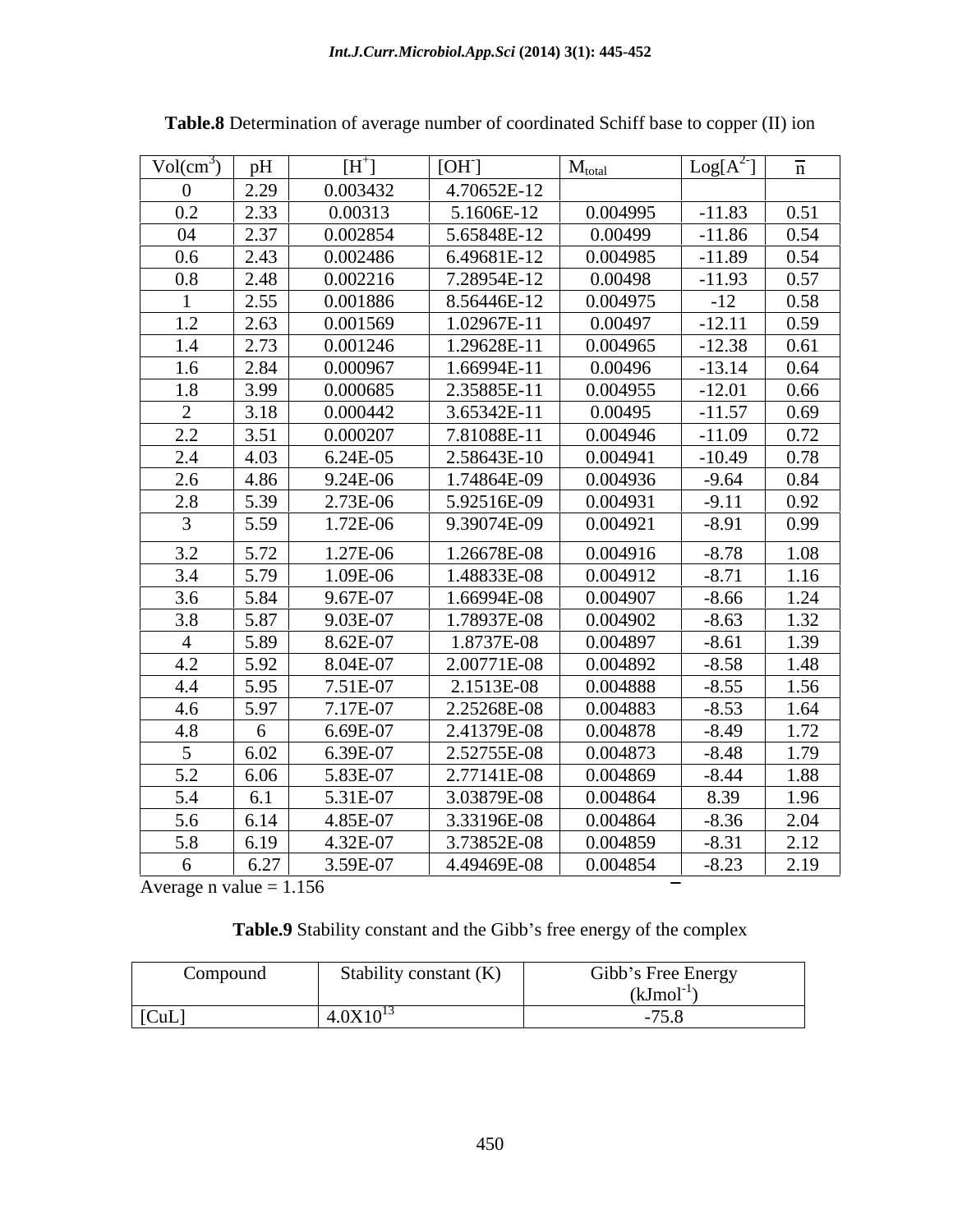| $Vol(cm^3)$    | pH   | $[H^+]$    | [OH]        | $M_{total}$ | $Log[A^2]$ | $\overline{n}$ |
|----------------|------|------------|-------------|-------------|------------|----------------|
|                | 2.29 | 0.003432   | 4.70652E-12 |             |            |                |
| 0.2            | 2.33 | 0.00313    | 5.1606E-12  | 0.004995    | $-11.83$   | 0.51           |
| 04             | 2.37 | 0.002854   | 5.65848E-12 | 0.00499     | $-11.86$   | 0.54           |
| 0.6            | 2.43 | 0.002486   | 6.49681E-12 | 0.004985    | $-11.89$   | 0.54           |
| $0.8\,$        | 2.48 | 0.002216   | 7.28954E-12 | 0.00498     | $-11.93$   | 0.57           |
|                | 2.55 | 0.001886   | 8.56446E-12 | 0.004975    | $-12$      | 0.58           |
| 1.2            | 2.63 | 0.001569   | 1.02967E-11 | 0.00497     | $-12.11$   | 0.59           |
| 1.4            | 2.73 | 0.001246   | 1.29628E-11 | 0.004965    | $-12.38$   | 0.61           |
| 1.6            | 2.84 | 0.000967   | 1.66994E-11 | 0.00496     | $-13.14$   | 0.64           |
| 1.8            | 3.99 | 0.000685   | 2.35885E-11 | 0.004955    | $-12.01$   | 0.66           |
| 2              | 3.18 | 0.000442   | 3.65342E-11 | 0.00495     | $-11.57$   | 0.69           |
| 2.2            | 3.51 | 0.000207   | 7.81088E-11 | 0.004946    | $-11.09$   | 0.72           |
| 2.4            | 4.03 | $6.24E-05$ | 2.58643E-10 | 0.004941    | $-10.49$   | 0.78           |
| 2.6            | 4.86 | 9.24E-06   | 1.74864E-09 | 0.004936    | $-9.64$    | 0.84           |
| 2.8            | 5.39 | 2.73E-06   | 5.92516E-09 | 0.004931    | $-9.11$    | 0.92           |
| $\overline{3}$ | 5.59 | 1.72E-06   | 9.39074E-09 | 0.004921    | $-8.91$    | 0.99           |
| 3.2            | 5.72 | 1.27E-06   | 1.26678E-08 | 0.004916    | $-8.78$    | 1.08           |
| 3.4            | 5.79 | 1.09E-06   | 1.48833E-08 | 0.004912    | $-8.71$    | 1.16           |
| 3.6            | 5.84 | 9.67E-07   | 1.66994E-08 | 0.004907    | $-8.66$    | 1.24           |
| 3.8            | 5.87 | 9.03E-07   | 1.78937E-08 | 0.004902    | $-8.63$    | 1.32           |
| $\overline{4}$ | 5.89 | 8.62E-07   | 1.8737E-08  | 0.004897    | $-8.61$    | 1.39           |
| 4.2            | 5.92 | 8.04E-07   | 2.00771E-08 | 0.004892    | $-8.58$    | 1.48           |
| 4.4            | 5.95 | 7.51E-07   | 2.1513E-08  | 0.004888    | $-8.55$    | 1.56           |
| 4.6            | 5.97 | 7.17E-07   | 2.25268E-08 | 0.004883    | $-8.53$    | 1.64           |
| 4.8            | 6    | 6.69E-07   | 2.41379E-08 | 0.004878    | $-8.49$    | 1.72           |
| 5              | 6.02 | 6.39E-07   | 2.52755E-08 | 0.004873    | $-8.48$    | 1.79           |
| 5.2            | 6.06 | 5.83E-07   | 2.77141E-08 | 0.004869    | $-8.44$    | 1.88           |
| 5.4            | 6.1  | 5.31E-07   | 3.03879E-08 | 0.004864    | 8.39       | 1.96           |
| 5.6            | 6.14 | 4.85E-07   | 3.33196E-08 | 0.004864    | $-8.36$    | 2.04           |
| 5.8            | 6.19 | 4.32E-07   | 3.73852E-08 | 0.004859    | $-8.31$    | 2.12           |
| 6              | 6.27 | 3.59E-07   | 4.49469E-08 | 0.004854    | $-8.23$    | 2.19           |

**Table.8** Determination of average number of coordinated Schiff base to copper (II) ion

 $\overline{\text{Average n value}} = 1.156$ 

| Table.9 Sta<br>$\sim$ 11 1<br>Applies of the Gibb's L.<br>energy of the complex<br>$^{\circ}$ c troo onorgy<br>$\sim$ |  |
|-----------------------------------------------------------------------------------------------------------------------|--|
|                                                                                                                       |  |

| Compound | Stability constant (K) | Gibb's Free Energy<br>J. |
|----------|------------------------|--------------------------|
|          |                        | (kJmol <sup>-</sup>      |
| [CuL]    | $4.0X10^{13}$          | 1.0.0                    |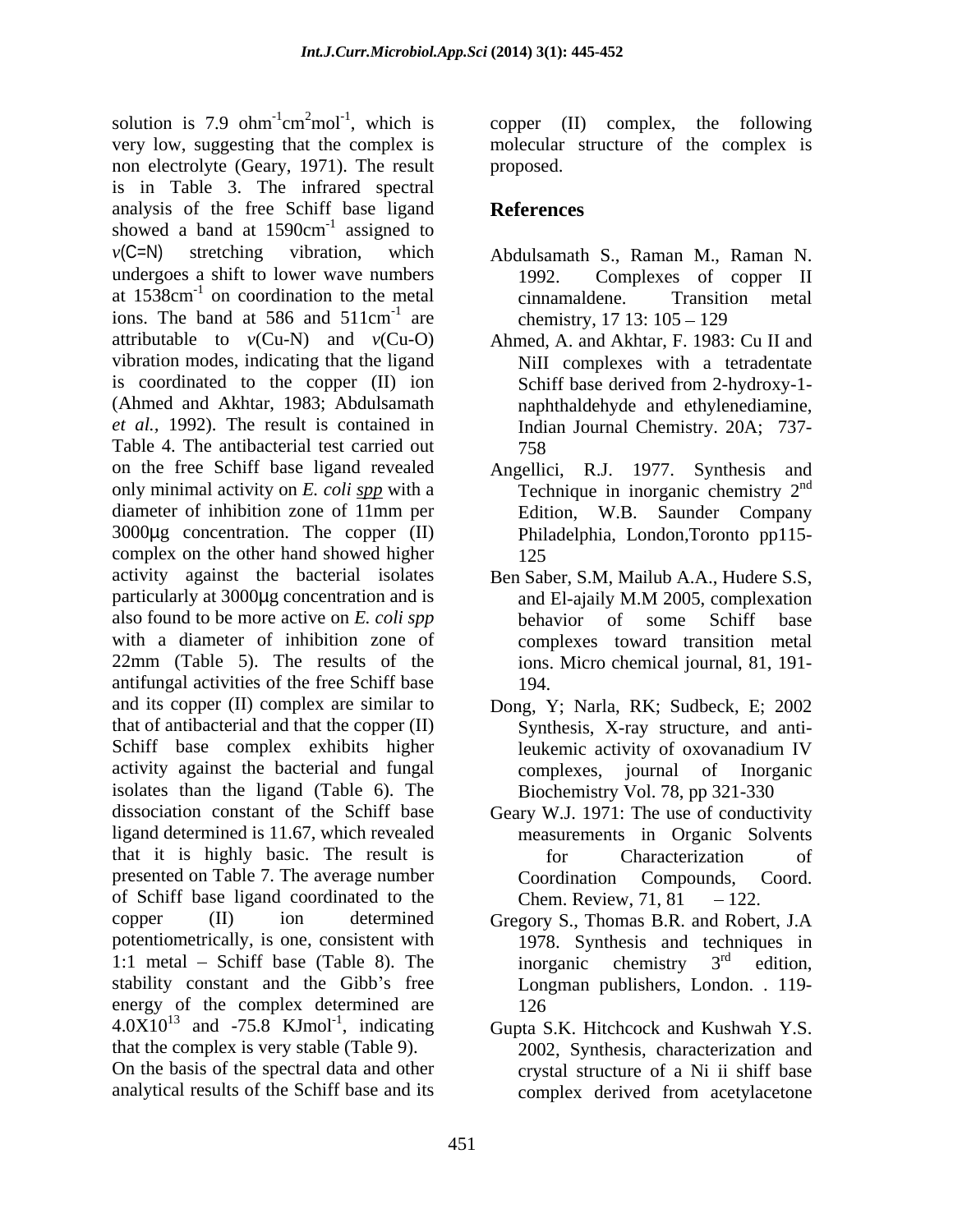solution is 7.9 ohm<sup>-1</sup>cm<sup>2</sup>mol<sup>-1</sup>, which is copper (II) complex, the following very low, suggesting that the complex is molecular structure of the complex is non electrolyte (Geary, 1971). The result is in Table 3. The infrared spectral analysis of the free Schiff base ligand showed a band at 1590cm<sup>-1</sup> assigned to  $-1$  assumed to assigned to *v*(C=N) stretching vibration, which Abdulsamath S., Raman M., Raman N. undergoes a shift to lower wave numbers 1992. at 1538cm<sup>-1</sup> on coordination to the metal cinnamaldene. Transition metal ions. The band at 586 and 511cm<sup>-1</sup> are attributable to *v*(Cu-N) and *v*(Cu-O) Ahmed, A. and Akhtar, F. 1983: Cu II and vibration modes, indicating that the ligand is coordinated to the copper (II) ion Schiff base derived from 2-hydroxy-1-(Ahmed and Akhtar, 1983; Abdulsamath naphthaldehyde and ethylenediamine, *et al.,* 1992). The result is contained in Indian Journal Chemistry. 20A; 737- Table 4. The antibacterial test carried out 758 on the free Schiff base ligand revealed Angellici, R.J. 1977. Synthesis and only minimal activity on *E. coli spp* with a diameter of inhibition zone of 11mm per Edition, W.B. Saunder Company 3000µg concentration. The copper (II) complex on the other hand showed higher activity against the bacterial isolates Ben Saber, S.M, Mailub A.A., Hudere S.S, particularly at 3000µg concentration and is and El-ajaily M.M 2005, complexation also found to be more active on *E. coli spp* with a diameter of inhibition zone of complexes toward transition metal 22mm (Table 5). The results of the ions. Micro chemical journal, 81, 191 antifungal activities of the free Schiff base and its copper (II) complex are similar to Dong, Y; Narla, RK; Sudbeck, E; 2002 that of antibacterial and that the copper (II) Synthesis, X-ray structure, and anti-Schiff base complex exhibits higher leukemic activity of oxovanadium IV activity against the bacterial and fungal complexes, journal of Inorganic isolates than the ligand (Table 6). The dissociation constant of the Schiff base Geary W.J. 1971: The use of conductivity ligand determined is 11.67, which revealed that it is highly basic. The result is presented on Table 7. The average number Coordination Compounds, Coord. of Schiff base ligand coordinated to the Chem. Review,  $71.81 - 122$ . copper (II) ion determined Gregory S., Thomas B.R. and Robert, J.A potentiometrically, is one, consistent with 1978. Synthesis and techniques in 1:1 metal – Schiff base (Table 8). The inorganic chemistry  $3<sup>rd</sup>$  edition, stability constant and the Gibb's free energy of the complex determined are  $126$  $4.0X10^{13}$  and  $-75.8$  KJmol<sup>-1</sup>, indicating that the complex is very stable (Table 9). 2002, Synthesis, characterization and On the basis of the spectral data and other analytical results of the Schiff base and its

proposed.

## **References**

- $-1$  are  $1 \tcdot 1712126$   $105$ chemistry,  $17$  13:  $105 - 129$ Complexes of copper II cinnamaldene. Transition metal chemistry,  $17 \, 13: 105 - 129$ 
	- NiII complexes with a tetradentate Schiff base derived from 2-hydroxy-1- 758
	- Technique in inorganic chemistry  $2<sup>nd</sup>$ nd Philadelphia, London,Toronto pp115- 125
	- and El-ajaily M.M 2005, complexation behavior of some Schiff base 194.
	- leukemic activity of oxovanadium IV Biochemistry Vol. 78, pp 321-330
	- measurements in Organic Solvents for Characterization of Coordination Compounds, Coord. Chem. Review, 71, 81
	- inorganic chemistry  $3<sup>rd</sup>$  edition,  $rd$  odition edition, Longman publishers, London. . 119- 126
- and -75.8 KJmol<sup>-1</sup>, indicating Gupta S.K. Hitchcock and Kushwah Y.S. crystal structure of a Ni ii shiff base complex derived from acetylacetone